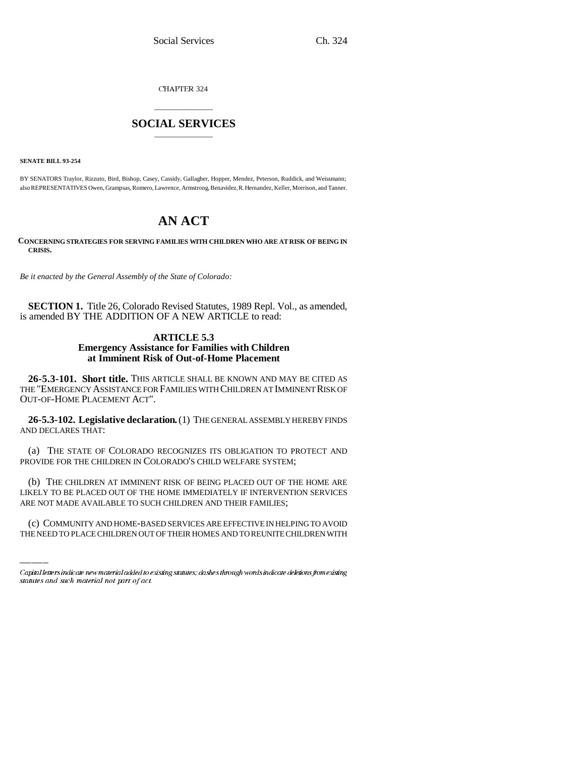CHAPTER 324

## \_\_\_\_\_\_\_\_\_\_\_\_\_\_\_ **SOCIAL SERVICES** \_\_\_\_\_\_\_\_\_\_\_\_\_\_\_

**SENATE BILL 93-254**

BY SENATORS Traylor, Rizzuto, Bird, Bishop, Casey, Cassidy, Gallagher, Hopper, Mendez, Peterson, Ruddick, and Weissmann; also REPRESENTATIVES Owen, Grampsas, Romero, Lawrence, Armstrong, Benavidez, R. Hernandez, Keller, Morrison, and Tanner.

# **AN ACT**

**CONCERNING STRATEGIES FOR SERVING FAMILIES WITH CHILDREN WHO ARE AT RISK OF BEING IN CRISIS.**

*Be it enacted by the General Assembly of the State of Colorado:* 

**SECTION 1.** Title 26, Colorado Revised Statutes, 1989 Repl. Vol., as amended, is amended BY THE ADDITION OF A NEW ARTICLE to read:

## **ARTICLE 5.3 Emergency Assistance for Families with Children at Imminent Risk of Out-of-Home Placement**

**26-5.3-101. Short title.** THIS ARTICLE SHALL BE KNOWN AND MAY BE CITED AS THE "EMERGENCY ASSISTANCE FOR FAMILIES WITH CHILDREN AT IMMINENT RISK OF OUT-OF-HOME PLACEMENT ACT".

**26-5.3-102. Legislative declaration.** (1) THE GENERAL ASSEMBLY HEREBY FINDS AND DECLARES THAT:

(a) THE STATE OF COLORADO RECOGNIZES ITS OBLIGATION TO PROTECT AND PROVIDE FOR THE CHILDREN IN COLORADO'S CHILD WELFARE SYSTEM;

LIKELY TO BE PLACED OUT OF THE HOME IMMEDIATELY IF INTERVENTION SERVICES (b) THE CHILDREN AT IMMINENT RISK OF BEING PLACED OUT OF THE HOME ARE ARE NOT MADE AVAILABLE TO SUCH CHILDREN AND THEIR FAMILIES;

(c) COMMUNITY AND HOME-BASED SERVICES ARE EFFECTIVE IN HELPING TO AVOID THE NEED TO PLACE CHILDREN OUT OF THEIR HOMES AND TO REUNITE CHILDREN WITH

Capital letters indicate new material added to existing statutes; dashes through words indicate deletions from existing statutes and such material not part of act.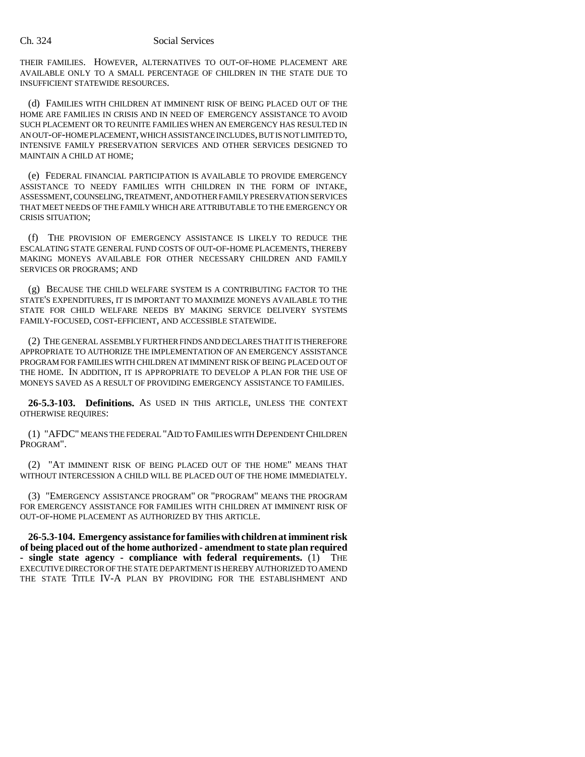### Ch. 324 Social Services

THEIR FAMILIES. HOWEVER, ALTERNATIVES TO OUT-OF-HOME PLACEMENT ARE AVAILABLE ONLY TO A SMALL PERCENTAGE OF CHILDREN IN THE STATE DUE TO INSUFFICIENT STATEWIDE RESOURCES.

(d) FAMILIES WITH CHILDREN AT IMMINENT RISK OF BEING PLACED OUT OF THE HOME ARE FAMILIES IN CRISIS AND IN NEED OF EMERGENCY ASSISTANCE TO AVOID SUCH PLACEMENT OR TO REUNITE FAMILIES WHEN AN EMERGENCY HAS RESULTED IN AN OUT-OF-HOME PLACEMENT, WHICH ASSISTANCE INCLUDES, BUT IS NOT LIMITED TO, INTENSIVE FAMILY PRESERVATION SERVICES AND OTHER SERVICES DESIGNED TO MAINTAIN A CHILD AT HOME;

(e) FEDERAL FINANCIAL PARTICIPATION IS AVAILABLE TO PROVIDE EMERGENCY ASSISTANCE TO NEEDY FAMILIES WITH CHILDREN IN THE FORM OF INTAKE, ASSESSMENT, COUNSELING, TREATMENT, AND OTHER FAMILY PRESERVATION SERVICES THAT MEET NEEDS OF THE FAMILY WHICH ARE ATTRIBUTABLE TO THE EMERGENCY OR CRISIS SITUATION;

(f) THE PROVISION OF EMERGENCY ASSISTANCE IS LIKELY TO REDUCE THE ESCALATING STATE GENERAL FUND COSTS OF OUT-OF-HOME PLACEMENTS, THEREBY MAKING MONEYS AVAILABLE FOR OTHER NECESSARY CHILDREN AND FAMILY SERVICES OR PROGRAMS; AND

(g) BECAUSE THE CHILD WELFARE SYSTEM IS A CONTRIBUTING FACTOR TO THE STATE'S EXPENDITURES, IT IS IMPORTANT TO MAXIMIZE MONEYS AVAILABLE TO THE STATE FOR CHILD WELFARE NEEDS BY MAKING SERVICE DELIVERY SYSTEMS FAMILY-FOCUSED, COST-EFFICIENT, AND ACCESSIBLE STATEWIDE.

(2) THE GENERAL ASSEMBLY FURTHER FINDS AND DECLARES THAT IT IS THEREFORE APPROPRIATE TO AUTHORIZE THE IMPLEMENTATION OF AN EMERGENCY ASSISTANCE PROGRAM FOR FAMILIES WITH CHILDREN AT IMMINENT RISK OF BEING PLACED OUT OF THE HOME. IN ADDITION, IT IS APPROPRIATE TO DEVELOP A PLAN FOR THE USE OF MONEYS SAVED AS A RESULT OF PROVIDING EMERGENCY ASSISTANCE TO FAMILIES.

**26-5.3-103. Definitions.** AS USED IN THIS ARTICLE, UNLESS THE CONTEXT OTHERWISE REQUIRES:

(1) "AFDC" MEANS THE FEDERAL "AID TO FAMILIES WITH DEPENDENT CHILDREN PROGRAM".

(2) "AT IMMINENT RISK OF BEING PLACED OUT OF THE HOME" MEANS THAT WITHOUT INTERCESSION A CHILD WILL BE PLACED OUT OF THE HOME IMMEDIATELY.

(3) "EMERGENCY ASSISTANCE PROGRAM" OR "PROGRAM" MEANS THE PROGRAM FOR EMERGENCY ASSISTANCE FOR FAMILIES WITH CHILDREN AT IMMINENT RISK OF OUT-OF-HOME PLACEMENT AS AUTHORIZED BY THIS ARTICLE.

**26-5.3-104. Emergency assistance for families with children at imminent risk of being placed out of the home authorized - amendment to state plan required - single state agency - compliance with federal requirements.** (1) THE EXECUTIVE DIRECTOR OF THE STATE DEPARTMENT IS HEREBY AUTHORIZED TO AMEND THE STATE TITLE IV-A PLAN BY PROVIDING FOR THE ESTABLISHMENT AND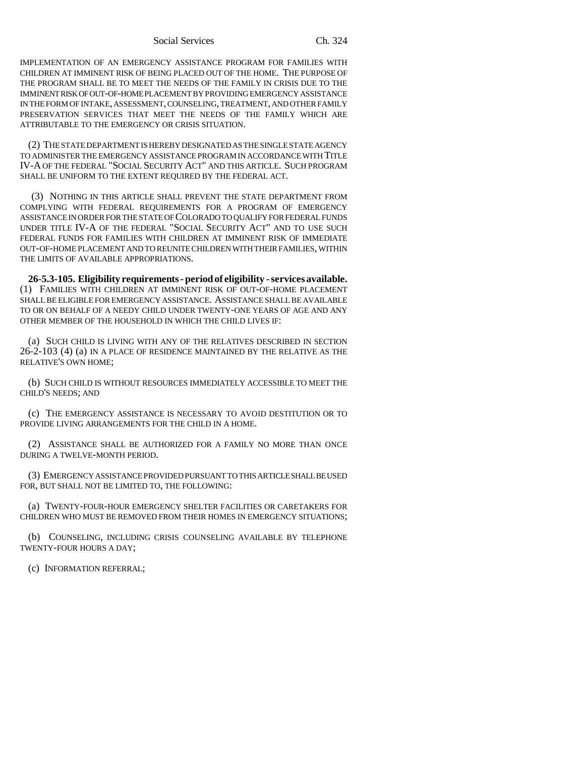Social Services Ch. 324

IMPLEMENTATION OF AN EMERGENCY ASSISTANCE PROGRAM FOR FAMILIES WITH CHILDREN AT IMMINENT RISK OF BEING PLACED OUT OF THE HOME. THE PURPOSE OF THE PROGRAM SHALL BE TO MEET THE NEEDS OF THE FAMILY IN CRISIS DUE TO THE IMMINENT RISK OF OUT-OF-HOME PLACEMENT BY PROVIDING EMERGENCY ASSISTANCE IN THE FORM OF INTAKE, ASSESSMENT, COUNSELING, TREATMENT, AND OTHER FAMILY PRESERVATION SERVICES THAT MEET THE NEEDS OF THE FAMILY WHICH ARE ATTRIBUTABLE TO THE EMERGENCY OR CRISIS SITUATION.

(2) THE STATE DEPARTMENT IS HEREBY DESIGNATED AS THE SINGLE STATE AGENCY TO ADMINISTER THE EMERGENCY ASSISTANCE PROGRAM IN ACCORDANCE WITH TITLE IV-A OF THE FEDERAL "SOCIAL SECURITY ACT" AND THIS ARTICLE. SUCH PROGRAM SHALL BE UNIFORM TO THE EXTENT REQUIRED BY THE FEDERAL ACT.

 (3) NOTHING IN THIS ARTICLE SHALL PREVENT THE STATE DEPARTMENT FROM COMPLYING WITH FEDERAL REQUIREMENTS FOR A PROGRAM OF EMERGENCY ASSISTANCE IN ORDER FOR THE STATE OF COLORADO TO QUALIFY FOR FEDERAL FUNDS UNDER TITLE IV-A OF THE FEDERAL "SOCIAL SECURITY ACT" AND TO USE SUCH FEDERAL FUNDS FOR FAMILIES WITH CHILDREN AT IMMINENT RISK OF IMMEDIATE OUT-OF-HOME PLACEMENT AND TO REUNITE CHILDREN WITH THEIR FAMILIES, WITHIN THE LIMITS OF AVAILABLE APPROPRIATIONS.

**26-5.3-105. Eligibility requirements - period of eligibility - services available.** (1) FAMILIES WITH CHILDREN AT IMMINENT RISK OF OUT-OF-HOME PLACEMENT SHALL BE ELIGIBLE FOR EMERGENCY ASSISTANCE. ASSISTANCE SHALL BE AVAILABLE TO OR ON BEHALF OF A NEEDY CHILD UNDER TWENTY-ONE YEARS OF AGE AND ANY OTHER MEMBER OF THE HOUSEHOLD IN WHICH THE CHILD LIVES IF:

(a) SUCH CHILD IS LIVING WITH ANY OF THE RELATIVES DESCRIBED IN SECTION 26-2-103 (4) (a) IN A PLACE OF RESIDENCE MAINTAINED BY THE RELATIVE AS THE RELATIVE'S OWN HOME;

(b) SUCH CHILD IS WITHOUT RESOURCES IMMEDIATELY ACCESSIBLE TO MEET THE CHILD'S NEEDS; AND

(c) THE EMERGENCY ASSISTANCE IS NECESSARY TO AVOID DESTITUTION OR TO PROVIDE LIVING ARRANGEMENTS FOR THE CHILD IN A HOME.

(2) ASSISTANCE SHALL BE AUTHORIZED FOR A FAMILY NO MORE THAN ONCE DURING A TWELVE-MONTH PERIOD.

(3) EMERGENCY ASSISTANCE PROVIDED PURSUANT TO THIS ARTICLE SHALL BE USED FOR, BUT SHALL NOT BE LIMITED TO, THE FOLLOWING:

(a) TWENTY-FOUR-HOUR EMERGENCY SHELTER FACILITIES OR CARETAKERS FOR CHILDREN WHO MUST BE REMOVED FROM THEIR HOMES IN EMERGENCY SITUATIONS;

(b) COUNSELING, INCLUDING CRISIS COUNSELING AVAILABLE BY TELEPHONE TWENTY-FOUR HOURS A DAY;

(c) INFORMATION REFERRAL;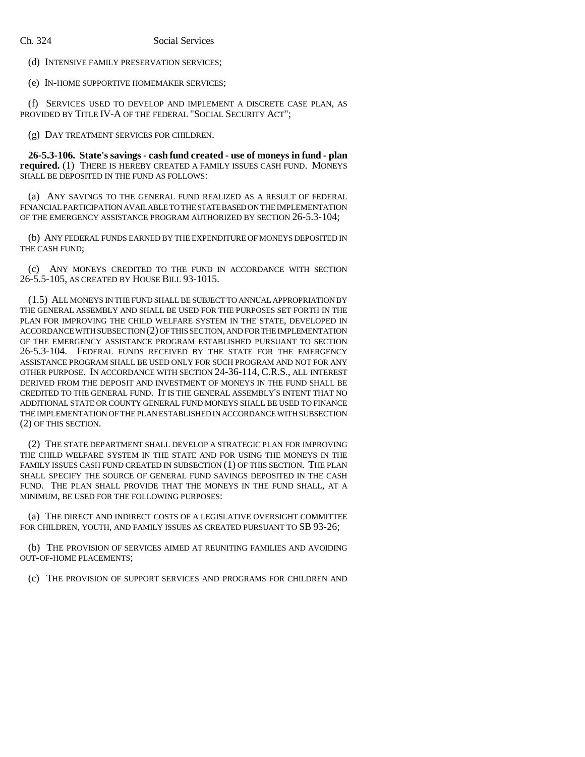(d) INTENSIVE FAMILY PRESERVATION SERVICES;

(e) IN-HOME SUPPORTIVE HOMEMAKER SERVICES;

(f) SERVICES USED TO DEVELOP AND IMPLEMENT A DISCRETE CASE PLAN, AS PROVIDED BY TITLE IV-A OF THE FEDERAL "SOCIAL SECURITY ACT";

(g) DAY TREATMENT SERVICES FOR CHILDREN.

**26-5.3-106. State's savings - cash fund created - use of moneys in fund - plan required.** (1) THERE IS HEREBY CREATED A FAMILY ISSUES CASH FUND. MONEYS SHALL BE DEPOSITED IN THE FUND AS FOLLOWS:

(a) ANY SAVINGS TO THE GENERAL FUND REALIZED AS A RESULT OF FEDERAL FINANCIAL PARTICIPATION AVAILABLE TO THE STATE BASED ON THE IMPLEMENTATION OF THE EMERGENCY ASSISTANCE PROGRAM AUTHORIZED BY SECTION 26-5.3-104;

(b) ANY FEDERAL FUNDS EARNED BY THE EXPENDITURE OF MONEYS DEPOSITED IN THE CASH FUND;

(c) ANY MONEYS CREDITED TO THE FUND IN ACCORDANCE WITH SECTION 26-5.5-105, AS CREATED BY HOUSE BILL 93-1015.

(1.5) ALL MONEYS IN THE FUND SHALL BE SUBJECT TO ANNUAL APPROPRIATION BY THE GENERAL ASSEMBLY AND SHALL BE USED FOR THE PURPOSES SET FORTH IN THE PLAN FOR IMPROVING THE CHILD WELFARE SYSTEM IN THE STATE, DEVELOPED IN ACCORDANCE WITH SUBSECTION (2) OF THIS SECTION, AND FOR THE IMPLEMENTATION OF THE EMERGENCY ASSISTANCE PROGRAM ESTABLISHED PURSUANT TO SECTION 26-5.3-104. FEDERAL FUNDS RECEIVED BY THE STATE FOR THE EMERGENCY ASSISTANCE PROGRAM SHALL BE USED ONLY FOR SUCH PROGRAM AND NOT FOR ANY OTHER PURPOSE. IN ACCORDANCE WITH SECTION 24-36-114, C.R.S., ALL INTEREST DERIVED FROM THE DEPOSIT AND INVESTMENT OF MONEYS IN THE FUND SHALL BE CREDITED TO THE GENERAL FUND. IT IS THE GENERAL ASSEMBLY'S INTENT THAT NO ADDITIONAL STATE OR COUNTY GENERAL FUND MONEYS SHALL BE USED TO FINANCE THE IMPLEMENTATION OF THE PLAN ESTABLISHED IN ACCORDANCE WITH SUBSECTION (2) OF THIS SECTION.

(2) THE STATE DEPARTMENT SHALL DEVELOP A STRATEGIC PLAN FOR IMPROVING THE CHILD WELFARE SYSTEM IN THE STATE AND FOR USING THE MONEYS IN THE FAMILY ISSUES CASH FUND CREATED IN SUBSECTION (1) OF THIS SECTION. THE PLAN SHALL SPECIFY THE SOURCE OF GENERAL FUND SAVINGS DEPOSITED IN THE CASH FUND. THE PLAN SHALL PROVIDE THAT THE MONEYS IN THE FUND SHALL, AT A MINIMUM, BE USED FOR THE FOLLOWING PURPOSES:

(a) THE DIRECT AND INDIRECT COSTS OF A LEGISLATIVE OVERSIGHT COMMITTEE FOR CHILDREN, YOUTH, AND FAMILY ISSUES AS CREATED PURSUANT TO SB 93-26;

(b) THE PROVISION OF SERVICES AIMED AT REUNITING FAMILIES AND AVOIDING OUT-OF-HOME PLACEMENTS;

(c) THE PROVISION OF SUPPORT SERVICES AND PROGRAMS FOR CHILDREN AND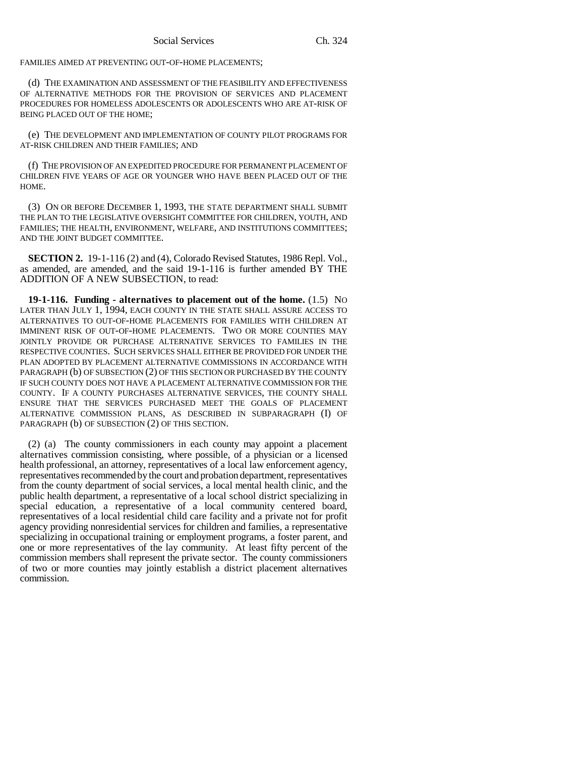FAMILIES AIMED AT PREVENTING OUT-OF-HOME PLACEMENTS;

(d) THE EXAMINATION AND ASSESSMENT OF THE FEASIBILITY AND EFFECTIVENESS OF ALTERNATIVE METHODS FOR THE PROVISION OF SERVICES AND PLACEMENT PROCEDURES FOR HOMELESS ADOLESCENTS OR ADOLESCENTS WHO ARE AT-RISK OF BEING PLACED OUT OF THE HOME;

(e) THE DEVELOPMENT AND IMPLEMENTATION OF COUNTY PILOT PROGRAMS FOR AT-RISK CHILDREN AND THEIR FAMILIES; AND

(f) THE PROVISION OF AN EXPEDITED PROCEDURE FOR PERMANENT PLACEMENT OF CHILDREN FIVE YEARS OF AGE OR YOUNGER WHO HAVE BEEN PLACED OUT OF THE **HOME.** 

(3) ON OR BEFORE DECEMBER 1, 1993, THE STATE DEPARTMENT SHALL SUBMIT THE PLAN TO THE LEGISLATIVE OVERSIGHT COMMITTEE FOR CHILDREN, YOUTH, AND FAMILIES; THE HEALTH, ENVIRONMENT, WELFARE, AND INSTITUTIONS COMMITTEES; AND THE JOINT BUDGET COMMITTEE.

**SECTION 2.** 19-1-116 (2) and (4), Colorado Revised Statutes, 1986 Repl. Vol., as amended, are amended, and the said 19-1-116 is further amended BY THE ADDITION OF A NEW SUBSECTION, to read:

**19-1-116. Funding - alternatives to placement out of the home.** (1.5) NO LATER THAN JULY 1, 1994, EACH COUNTY IN THE STATE SHALL ASSURE ACCESS TO ALTERNATIVES TO OUT-OF-HOME PLACEMENTS FOR FAMILIES WITH CHILDREN AT IMMINENT RISK OF OUT-OF-HOME PLACEMENTS. TWO OR MORE COUNTIES MAY JOINTLY PROVIDE OR PURCHASE ALTERNATIVE SERVICES TO FAMILIES IN THE RESPECTIVE COUNTIES. SUCH SERVICES SHALL EITHER BE PROVIDED FOR UNDER THE PLAN ADOPTED BY PLACEMENT ALTERNATIVE COMMISSIONS IN ACCORDANCE WITH PARAGRAPH (b) OF SUBSECTION (2) OF THIS SECTION OR PURCHASED BY THE COUNTY IF SUCH COUNTY DOES NOT HAVE A PLACEMENT ALTERNATIVE COMMISSION FOR THE COUNTY. IF A COUNTY PURCHASES ALTERNATIVE SERVICES, THE COUNTY SHALL ENSURE THAT THE SERVICES PURCHASED MEET THE GOALS OF PLACEMENT ALTERNATIVE COMMISSION PLANS, AS DESCRIBED IN SUBPARAGRAPH (I) OF PARAGRAPH (b) OF SUBSECTION (2) OF THIS SECTION.

(2) (a) The county commissioners in each county may appoint a placement alternatives commission consisting, where possible, of a physician or a licensed health professional, an attorney, representatives of a local law enforcement agency, representatives recommended by the court and probation department, representatives from the county department of social services, a local mental health clinic, and the public health department, a representative of a local school district specializing in special education, a representative of a local community centered board, representatives of a local residential child care facility and a private not for profit agency providing nonresidential services for children and families, a representative specializing in occupational training or employment programs, a foster parent, and one or more representatives of the lay community. At least fifty percent of the commission members shall represent the private sector. The county commissioners of two or more counties may jointly establish a district placement alternatives commission.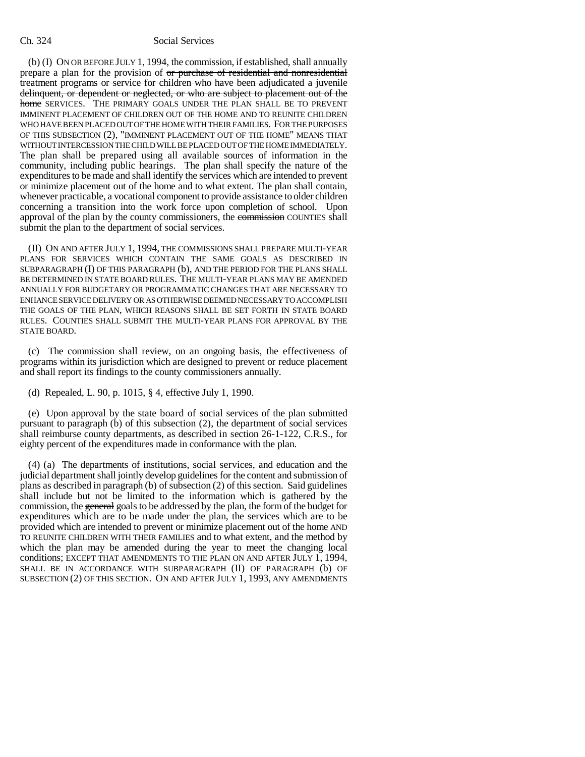### Ch. 324 Social Services

(b) (I) ON OR BEFORE JULY 1, 1994, the commission, if established, shall annually prepare a plan for the provision of or purchase of residential and nonresidential treatment programs or service for children who have been adjudicated a juvenile delinquent, or dependent or neglected, or who are subject to placement out of the home SERVICES. THE PRIMARY GOALS UNDER THE PLAN SHALL BE TO PREVENT IMMINENT PLACEMENT OF CHILDREN OUT OF THE HOME AND TO REUNITE CHILDREN WHO HAVE BEEN PLACED OUT OF THE HOME WITH THEIR FAMILIES. FOR THE PURPOSES OF THIS SUBSECTION (2), "IMMINENT PLACEMENT OUT OF THE HOME" MEANS THAT WITHOUT INTERCESSION THE CHILD WILL BE PLACED OUT OF THE HOME IMMEDIATELY. The plan shall be prepared using all available sources of information in the community, including public hearings. The plan shall specify the nature of the expenditures to be made and shall identify the services which are intended to prevent or minimize placement out of the home and to what extent. The plan shall contain, whenever practicable, a vocational component to provide assistance to older children concerning a transition into the work force upon completion of school. Upon approval of the plan by the county commissioners, the commission COUNTIES shall submit the plan to the department of social services.

(II) ON AND AFTER JULY 1, 1994, THE COMMISSIONS SHALL PREPARE MULTI-YEAR PLANS FOR SERVICES WHICH CONTAIN THE SAME GOALS AS DESCRIBED IN SUBPARAGRAPH (I) OF THIS PARAGRAPH (b), AND THE PERIOD FOR THE PLANS SHALL BE DETERMINED IN STATE BOARD RULES. THE MULTI-YEAR PLANS MAY BE AMENDED ANNUALLY FOR BUDGETARY OR PROGRAMMATIC CHANGES THAT ARE NECESSARY TO ENHANCE SERVICE DELIVERY OR AS OTHERWISE DEEMED NECESSARY TO ACCOMPLISH THE GOALS OF THE PLAN, WHICH REASONS SHALL BE SET FORTH IN STATE BOARD RULES. COUNTIES SHALL SUBMIT THE MULTI-YEAR PLANS FOR APPROVAL BY THE STATE BOARD.

(c) The commission shall review, on an ongoing basis, the effectiveness of programs within its jurisdiction which are designed to prevent or reduce placement and shall report its findings to the county commissioners annually.

(d) Repealed, L. 90, p. 1015, § 4, effective July 1, 1990.

(e) Upon approval by the state board of social services of the plan submitted pursuant to paragraph (b) of this subsection (2), the department of social services shall reimburse county departments, as described in section 26-1-122, C.R.S., for eighty percent of the expenditures made in conformance with the plan.

(4) (a) The departments of institutions, social services, and education and the judicial department shall jointly develop guidelines for the content and submission of plans as described in paragraph (b) of subsection (2) of this section. Said guidelines shall include but not be limited to the information which is gathered by the commission, the general goals to be addressed by the plan, the form of the budget for expenditures which are to be made under the plan, the services which are to be provided which are intended to prevent or minimize placement out of the home AND TO REUNITE CHILDREN WITH THEIR FAMILIES and to what extent, and the method by which the plan may be amended during the year to meet the changing local conditions; EXCEPT THAT AMENDMENTS TO THE PLAN ON AND AFTER JULY 1, 1994, SHALL BE IN ACCORDANCE WITH SUBPARAGRAPH (II) OF PARAGRAPH (b) OF SUBSECTION (2) OF THIS SECTION. ON AND AFTER JULY 1, 1993, ANY AMENDMENTS